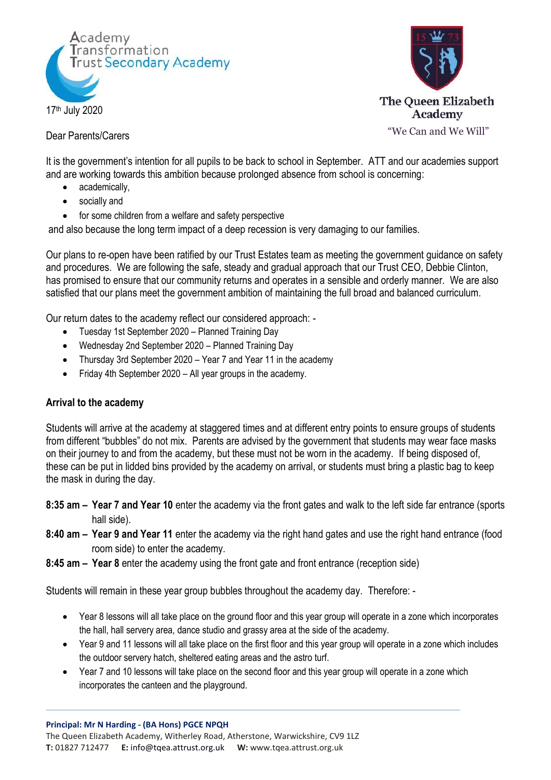



Dear Parents/Carers

"We Can and We Will"

It is the government's intention for all pupils to be back to school in September. ATT and our academies support and are working towards this ambition because prolonged absence from school is concerning:

- academically,
- socially and
- for some children from a welfare and safety perspective

and also because the long term impact of a deep recession is very damaging to our families.

Our plans to re-open have been ratified by our Trust Estates team as meeting the government guidance on safety and procedures. We are following the safe, steady and gradual approach that our Trust CEO, Debbie Clinton, has promised to ensure that our community returns and operates in a sensible and orderly manner. We are also satisfied that our plans meet the government ambition of maintaining the full broad and balanced curriculum.

Our return dates to the academy reflect our considered approach: -

- Tuesday 1st September 2020 Planned Training Day
- Wednesday 2nd September 2020 Planned Training Day
- Thursday 3rd September 2020 Year 7 and Year 11 in the academy
- Friday 4th September 2020 All year groups in the academy.

## **Arrival to the academy**

Students will arrive at the academy at staggered times and at different entry points to ensure groups of students from different "bubbles" do not mix. Parents are advised by the government that students may wear face masks on their journey to and from the academy, but these must not be worn in the academy. If being disposed of, these can be put in lidded bins provided by the academy on arrival, or students must bring a plastic bag to keep the mask in during the day.

- **8:35 am – Year 7 and Year 10** enter the academy via the front gates and walk to the left side far entrance (sports hall side).
- **8:40 am – Year 9 and Year 11** enter the academy via the right hand gates and use the right hand entrance (food room side) to enter the academy.
- **8:45 am – Year 8** enter the academy using the front gate and front entrance (reception side)

Students will remain in these year group bubbles throughout the academy day. Therefore: -

- Year 8 lessons will all take place on the ground floor and this year group will operate in a zone which incorporates the hall, hall servery area, dance studio and grassy area at the side of the academy.
- Year 9 and 11 lessons will all take place on the first floor and this year group will operate in a zone which includes the outdoor servery hatch, sheltered eating areas and the astro turf.
- Year 7 and 10 lessons will take place on the second floor and this year group will operate in a zone which incorporates the canteen and the playground.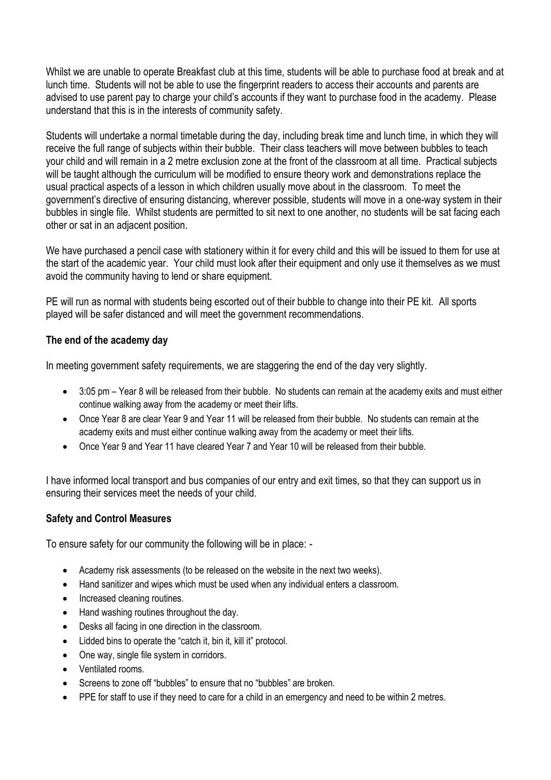Whilst we are unable to operate Breakfast club at this time, students will be able to purchase food at break and at lunch time. Students will not be able to use the fingerprint readers to access their accounts and parents are advised to use parent pay to charge your child's accounts if they want to purchase food in the academy. Please understand that this is in the interests of community safety.

Students will undertake a normal timetable during the day, including break time and lunch time, in which they will receive the full range of subjects within their bubble. Their class teachers will move between bubbles to teach your child and will remain in a 2 metre exclusion zone at the front of the classroom at all time. Practical subjects will be taught although the curriculum will be modified to ensure theory work and demonstrations replace the usual practical aspects of a lesson in which children usually move about in the classroom. To meet the government's directive of ensuring distancing, wherever possible, students will move in a one-way system in their bubbles in single file. Whilst students are permitted to sit next to one another, no students will be sat facing each other or sat in an adjacent position.

We have purchased a pencil case with stationery within it for every child and this will be issued to them for use at the start of the academic year. Your child must look after their equipment and only use it themselves as we must avoid the community having to lend or share equipment.

PE will run as normal with students being escorted out of their bubble to change into their PE kit. All sports played will be safer distanced and will meet the government recommendations.

## **The end of the academy day**

In meeting government safety requirements, we are staggering the end of the day very slightly.

- 3:05 pm Year 8 will be released from their bubble. No students can remain at the academy exits and must either continue walking away from the academy or meet their lifts.
- Once Year 8 are clear Year 9 and Year 11 will be released from their bubble. No students can remain at the academy exits and must either continue walking away from the academy or meet their lifts.
- Once Year 9 and Year 11 have cleared Year 7 and Year 10 will be released from their bubble.

I have informed local transport and bus companies of our entry and exit times, so that they can support us in ensuring their services meet the needs of your child.

## **Safety and Control Measures**

To ensure safety for our community the following will be in place: -

- Academy risk assessments (to be released on the website in the next two weeks).
- Hand sanitizer and wipes which must be used when any individual enters a classroom.
- Increased cleaning routines.
- Hand washing routines throughout the day.
- Desks all facing in one direction in the classroom.
- Lidded bins to operate the "catch it, bin it, kill it" protocol.
- One way, single file system in corridors.
- Ventilated rooms.
- Screens to zone off "bubbles" to ensure that no "bubbles" are broken.
- PPE for staff to use if they need to care for a child in an emergency and need to be within 2 metres.